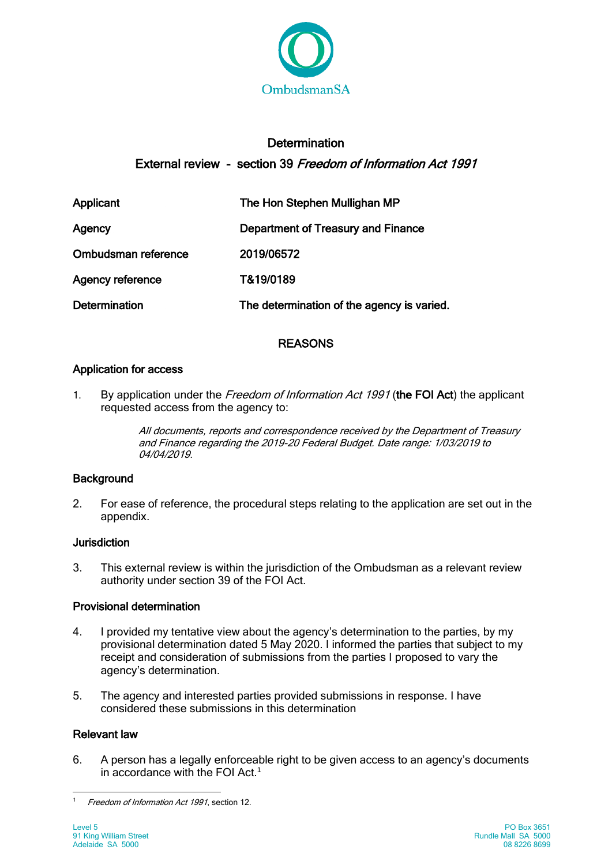

# **Determination** External review - section 39 Freedom of Information Act 1991

| Applicant               | The Hon Stephen Mullighan MP               |
|-------------------------|--------------------------------------------|
| Agency                  | Department of Treasury and Finance         |
| Ombudsman reference     | 2019/06572                                 |
| <b>Agency reference</b> | T&19/0189                                  |
| <b>Determination</b>    | The determination of the agency is varied. |

## REASONS

## Application for access

1. By application under the Freedom of Information Act 1991 (the FOI Act) the applicant requested access from the agency to:

> All documents, reports and correspondence received by the Department of Treasury and Finance regarding the 2019-20 Federal Budget. Date range: 1/03/2019 to 04/04/2019.

## **Background**

2. For ease of reference, the procedural steps relating to the application are set out in the appendix.

## **Jurisdiction**

3. This external review is within the jurisdiction of the Ombudsman as a relevant review authority under section 39 of the FOI Act.

## Provisional determination

- 4. I provided my tentative view about the agency's determination to the parties, by my provisional determination dated 5 May 2020. I informed the parties that subject to my receipt and consideration of submissions from the parties I proposed to vary the agency's determination.
- 5. The agency and interested parties provided submissions in response. I have considered these submissions in this determination

## Relevant law

6. A person has a legally enforceable right to be given access to an agency's documents in accordance with the FOI Act.<sup>1</sup>

 $\mathbf{1}$ Freedom of Information Act 1991, section 12.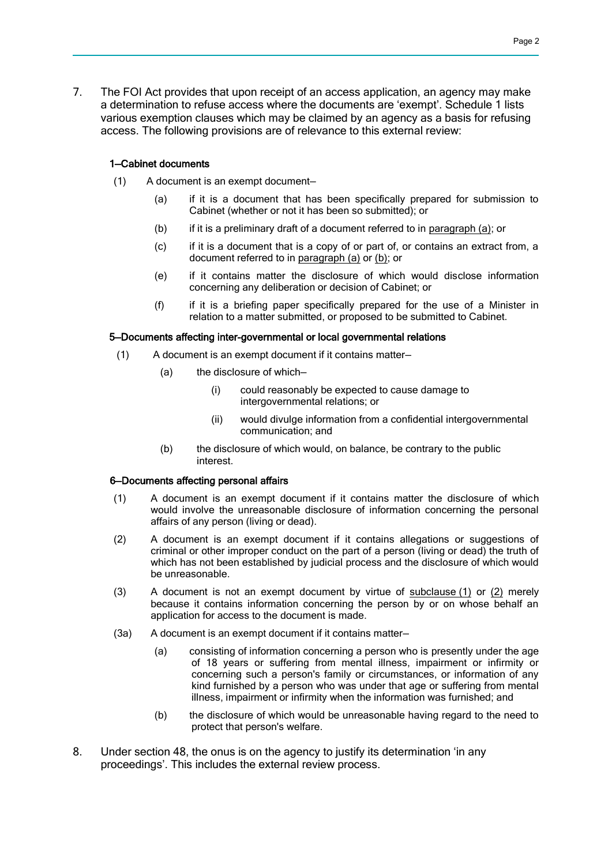7. The FOI Act provides that upon receipt of an access application, an agency may make a determination to refuse access where the documents are 'exempt'. Schedule 1 lists various exemption clauses which may be claimed by an agency as a basis for refusing access. The following provisions are of relevance to this external review:

#### 1—Cabinet documents

- (1) A document is an exempt document—
	- (a) if it is a document that has been specifically prepared for submission to Cabinet (whether or not it has been so submitted); or
	- (b) if it is a preliminary draft of a document referred to in [paragraph](file:///C:/Users/kzmil/AppData/Local/Beethoven/Resolve/Beethoven/Resolve/DocumentStore/OMB_PRODAPP/2016_07951/2016%2007951%2032%20FOI%20ER%20-%20Provisional%20Determination%20-%20Ombudsman%20(1).doc%23idbddbd09a_db00_4edd_b07d_b5360b95a3fa) (a); or
	- (c) if it is a document that is a copy of or part of, or contains an extract from, a document referred to in [paragraph](file:///C:/Users/kzmil/AppData/Local/Beethoven/Resolve/Beethoven/Resolve/DocumentStore/OMB_PRODAPP/2016_07951/2016%2007951%2032%20FOI%20ER%20-%20Provisional%20Determination%20-%20Ombudsman%20(1).doc%23idbddbd09a_db00_4edd_b07d_b5360b95a3fa) (a) o[r \(b\);](file:///C:/Users/kzmil/AppData/Local/Beethoven/Resolve/Beethoven/Resolve/DocumentStore/OMB_PRODAPP/2016_07951/2016%2007951%2032%20FOI%20ER%20-%20Provisional%20Determination%20-%20Ombudsman%20(1).doc%23id987ed1f3_1ffd_4b70_8003_2fc52c31103f) or
	- (e) if it contains matter the disclosure of which would disclose information concerning any deliberation or decision of Cabinet; or
	- (f) if it is a briefing paper specifically prepared for the use of a Minister in relation to a matter submitted, or proposed to be submitted to Cabinet.

#### 5—Documents affecting inter-governmental or local governmental relations

- (1) A document is an exempt document if it contains matter—
	- (a) the disclosure of which—
		- (i) could reasonably be expected to cause damage to intergovernmental relations; or
		- (ii) would divulge information from a confidential intergovernmental communication; and
	- (b) the disclosure of which would, on balance, be contrary to the public interest.

#### 6—Documents affecting personal affairs

- (1) A document is an exempt document if it contains matter the disclosure of which would involve the unreasonable disclosure of information concerning the personal affairs of any person (living or dead).
- (2) A document is an exempt document if it contains allegations or suggestions of criminal or other improper conduct on the part of a person (living or dead) the truth of which has not been established by judicial process and the disclosure of which would be unreasonable.
- (3) A document is not an exempt document by virtue of [subclause](file:///C:/Users/ezdre/AppData/Local/Beethoven/Resolve/Beethoven/Resolve/DocumentStore/OMB_PRODAPP/2019_07071/2019%2007071%2032%20FOI%20ER%20-%20Provisional%20Determination%20-%20Ombudsman%20(1).docx%23idccbbcb74_ff44_40b4_aec6_abd628f2dde2) (1) or [\(2\)](file:///C:/Users/ezdre/AppData/Local/Beethoven/Resolve/Beethoven/Resolve/DocumentStore/OMB_PRODAPP/2019_07071/2019%2007071%2032%20FOI%20ER%20-%20Provisional%20Determination%20-%20Ombudsman%20(1).docx%23id0e3aa0ac_688f_4e30_aa02_8efd9cbb70d7) merely because it contains information concerning the person by or on whose behalf an application for access to the document is made.
- (3a) A document is an exempt document if it contains matter—
	- (a) consisting of information concerning a person who is presently under the age of 18 years or suffering from mental illness, impairment or infirmity or concerning such a person's family or circumstances, or information of any kind furnished by a person who was under that age or suffering from mental illness, impairment or infirmity when the information was furnished; and
	- (b) the disclosure of which would be unreasonable having regard to the need to protect that person's welfare.
- 8. Under section 48, the onus is on the agency to justify its determination 'in any proceedings'. This includes the external review process.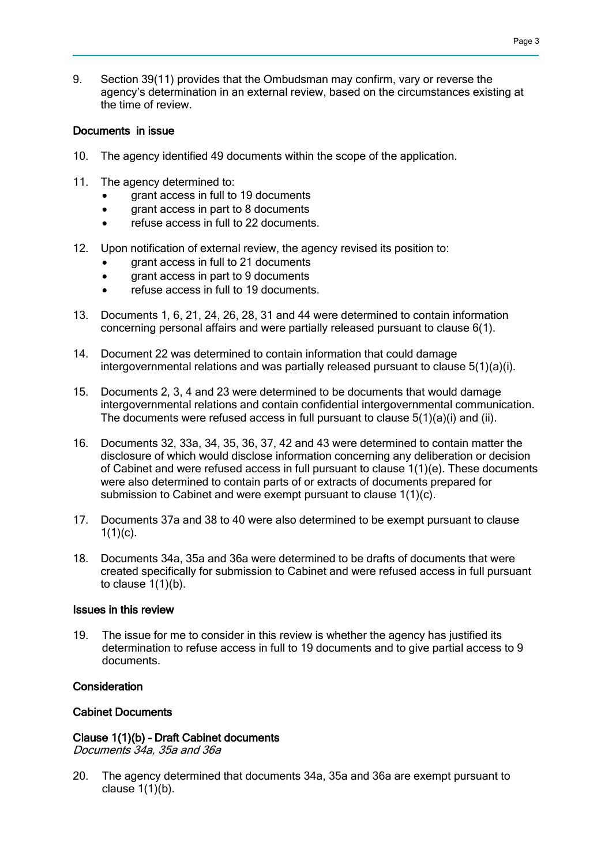9. Section 39(11) provides that the Ombudsman may confirm, vary or reverse the agency's determination in an external review, based on the circumstances existing at the time of review.

### Documents in issue

- 10. The agency identified 49 documents within the scope of the application.
- 11. The agency determined to:
	- grant access in full to 19 documents
	- grant access in part to 8 documents
	- refuse access in full to 22 documents.
- 12. Upon notification of external review, the agency revised its position to:
	- grant access in full to 21 documents
	- grant access in part to 9 documents
	- **•** refuse access in full to 19 documents.
- 13. Documents 1, 6, 21, 24, 26, 28, 31 and 44 were determined to contain information concerning personal affairs and were partially released pursuant to clause 6(1).
- 14. Document 22 was determined to contain information that could damage intergovernmental relations and was partially released pursuant to clause 5(1)(a)(i).
- 15. Documents 2, 3, 4 and 23 were determined to be documents that would damage intergovernmental relations and contain confidential intergovernmental communication. The documents were refused access in full pursuant to clause 5(1)(a)(i) and (ii).
- 16. Documents 32, 33a, 34, 35, 36, 37, 42 and 43 were determined to contain matter the disclosure of which would disclose information concerning any deliberation or decision of Cabinet and were refused access in full pursuant to clause 1(1)(e). These documents were also determined to contain parts of or extracts of documents prepared for submission to Cabinet and were exempt pursuant to clause 1(1)(c).
- 17. Documents 37a and 38 to 40 were also determined to be exempt pursuant to clause  $1(1)(c)$ .
- 18. Documents 34a, 35a and 36a were determined to be drafts of documents that were created specifically for submission to Cabinet and were refused access in full pursuant to clause 1(1)(b).

### Issues in this review

19. The issue for me to consider in this review is whether the agency has justified its determination to refuse access in full to 19 documents and to give partial access to 9 documents.

### **Consideration**

### Cabinet Documents

## Clause 1(1)(b) – Draft Cabinet documents

Documents 34a, 35a and 36a

20. The agency determined that documents 34a, 35a and 36a are exempt pursuant to clause  $1(1)(b)$ .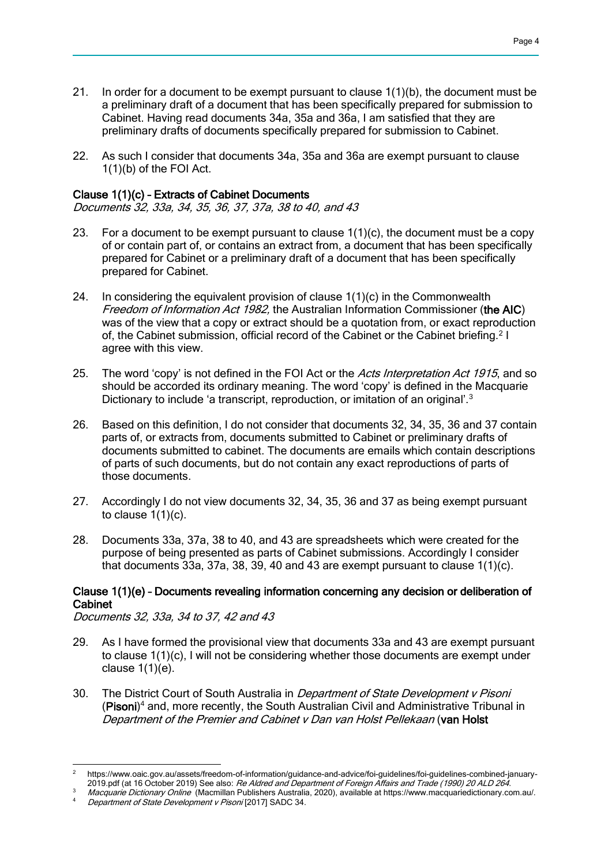- 21. In order for a document to be exempt pursuant to clause  $1(1)(b)$ , the document must be a preliminary draft of a document that has been specifically prepared for submission to Cabinet. Having read documents 34a, 35a and 36a, I am satisfied that they are preliminary drafts of documents specifically prepared for submission to Cabinet.
- 22. As such I consider that documents 34a, 35a and 36a are exempt pursuant to clause 1(1)(b) of the FOI Act.

### Clause 1(1)(c) – Extracts of Cabinet Documents

Documents 32, 33a, 34, 35, 36, 37, 37a, 38 to 40, and 43

- 23. For a document to be exempt pursuant to clause  $1(1)(c)$ , the document must be a copy of or contain part of, or contains an extract from, a document that has been specifically prepared for Cabinet or a preliminary draft of a document that has been specifically prepared for Cabinet.
- 24. In considering the equivalent provision of clause  $1(1)(c)$  in the Commonwealth Freedom of Information Act 1982, the Australian Information Commissioner (the AIC) was of the view that a copy or extract should be a quotation from, or exact reproduction of, the Cabinet submission, official record of the Cabinet or the Cabinet briefing.<sup>2</sup> I agree with this view.
- 25. The word 'copy' is not defined in the FOI Act or the Acts Interpretation Act 1915, and so should be accorded its ordinary meaning. The word 'copy' is defined in the Macquarie Dictionary to include 'a transcript, reproduction, or imitation of an original'.<sup>3</sup>
- 26. Based on this definition, I do not consider that documents 32, 34, 35, 36 and 37 contain parts of, or extracts from, documents submitted to Cabinet or preliminary drafts of documents submitted to cabinet. The documents are emails which contain descriptions of parts of such documents, but do not contain any exact reproductions of parts of those documents.
- 27. Accordingly I do not view documents 32, 34, 35, 36 and 37 as being exempt pursuant to clause  $1(1)(c)$ .
- 28. Documents 33a, 37a, 38 to 40, and 43 are spreadsheets which were created for the purpose of being presented as parts of Cabinet submissions. Accordingly I consider that documents 33a, 37a, 38, 39, 40 and 43 are exempt pursuant to clause 1(1)(c).

### Clause 1(1)(e) – Documents revealing information concerning any decision or deliberation of Cabinet

Documents 32, 33a, 34 to 37, 42 and 43

- 29. As I have formed the provisional view that documents 33a and 43 are exempt pursuant to clause 1(1)(c), I will not be considering whether those documents are exempt under clause 1(1)(e).
- 30. The District Court of South Australia in *Department of State Development v Pisoni* (Pisoni) <sup>4</sup> and, more recently, the South Australian Civil and Administrative Tribunal in Department of the Premier and Cabinet v Dan van Holst Pellekaan (van Holst

 $\overline{2}$ <sup>2</sup> https://www.oaic.gov.au/assets/freedom-of-information/guidance-and-advice/foi-guidelines/foi-guidelines-combined-january-2019.pdf (at 16 October 2019) See also: Re Aldred and Department of Foreign Affairs and Trade (1990) 20 ALD 264.

Macquarie Dictionary Online (Macmillan Publishers Australia, 2020), available at https://www.macquariedictionary.com.au/.

Department of State Development v Pisoni [2017] SADC 34.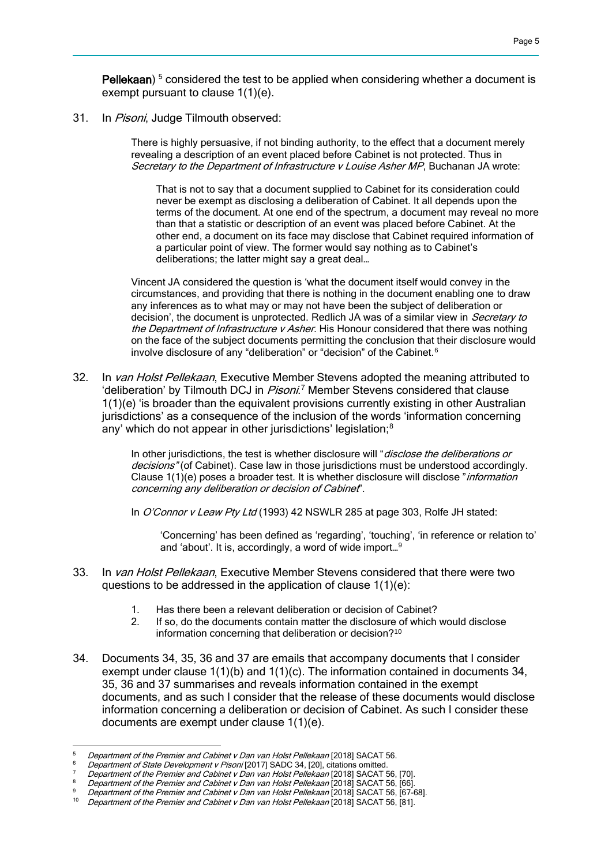Pellekaan)<sup>5</sup> considered the test to be applied when considering whether a document is exempt pursuant to clause 1(1)(e).

31. In Pisoni, Judge Tilmouth observed:

There is highly persuasive, if not binding authority, to the effect that a document merely revealing a description of an event placed before Cabinet is not protected. Thus in Secretary to the Department of Infrastructure v Louise Asher MP, Buchanan JA wrote:

That is not to say that a document supplied to Cabinet for its consideration could never be exempt as disclosing a deliberation of Cabinet. It all depends upon the terms of the document. At one end of the spectrum, a document may reveal no more than that a statistic or description of an event was placed before Cabinet. At the other end, a document on its face may disclose that Cabinet required information of a particular point of view. The former would say nothing as to Cabinet's deliberations; the latter might say a great deal…

Vincent JA considered the question is 'what the document itself would convey in the circumstances, and providing that there is nothing in the document enabling one to draw any inferences as to what may or may not have been the subject of deliberation or decision', the document is unprotected. Redlich JA was of a similar view in Secretary to the Department of Infrastructure v Asher. His Honour considered that there was nothing on the face of the subject documents permitting the conclusion that their disclosure would involve disclosure of any "deliberation" or "decision" of the Cabinet.<sup>6</sup>

32. In van Holst Pellekaan, Executive Member Stevens adopted the meaning attributed to 'deliberation' by Tilmouth DCJ in Pisoni.<sup>7</sup> Member Stevens considered that clause 1(1)(e) 'is broader than the equivalent provisions currently existing in other Australian jurisdictions' as a consequence of the inclusion of the words 'information concerning any' which do not appear in other jurisdictions' legislation;<sup>8</sup>

> In other jurisdictions, the test is whether disclosure will "disclose the deliberations or decisions" (of Cabinet). Case law in those jurisdictions must be understood accordingly. Clause 1(1)(e) poses a broader test. It is whether disclosure will disclose "information concerning any deliberation or decision of Cabinet".

In O'Connor v Leaw Pty Ltd (1993) 42 NSWLR 285 at page 303, Rolfe JH stated:

'Concerning' has been defined as 'regarding', 'touching', 'in reference or relation to' and 'about'. It is, accordingly, a word of wide import…<sup>9</sup>

- 33. In van Holst Pellekaan, Executive Member Stevens considered that there were two questions to be addressed in the application of clause  $1(1)(e)$ :
	- 1. Has there been a relevant deliberation or decision of Cabinet?
	- 2. If so, do the documents contain matter the disclosure of which would disclose information concerning that deliberation or decision?<sup>10</sup>
- 34. Documents 34, 35, 36 and 37 are emails that accompany documents that I consider exempt under clause 1(1)(b) and 1(1)(c). The information contained in documents 34, 35, 36 and 37 summarises and reveals information contained in the exempt documents, and as such I consider that the release of these documents would disclose information concerning a deliberation or decision of Cabinet. As such I consider these documents are exempt under clause 1(1)(e).

 $\overline{a}$ <sup>5</sup> Department of the Premier and Cabinet v Dan van Holst Pellekaan [2018] SACAT 56.

Department of State Development v Pisoni [2017] SADC 34, [20], citations omitted.

Department of the Premier and Cabinet v Dan van Holst Pellekaan [2018] SACAT 56, [70].

Department of the Premier and Cabinet v Dan van Holst Pellekaan [2018] SACAT 56, [66].

 $\frac{9}{10}$  Department of the Premier and Cabinet v Dan van Holst Pellekaan [2018] SACAT 56, [67-68].

Department of the Premier and Cabinet v Dan van Holst Pellekaan [2018] SACAT 56, [81].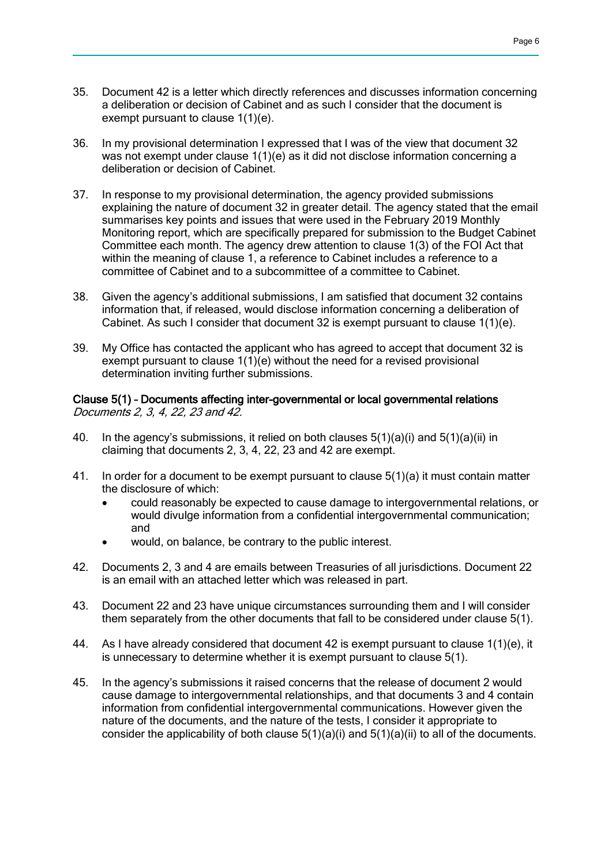- 35. Document 42 is a letter which directly references and discusses information concerning a deliberation or decision of Cabinet and as such I consider that the document is exempt pursuant to clause 1(1)(e).
- 36. In my provisional determination I expressed that I was of the view that document 32 was not exempt under clause 1(1)(e) as it did not disclose information concerning a deliberation or decision of Cabinet.
- 37. In response to my provisional determination, the agency provided submissions explaining the nature of document 32 in greater detail. The agency stated that the email summarises key points and issues that were used in the February 2019 Monthly Monitoring report, which are specifically prepared for submission to the Budget Cabinet Committee each month. The agency drew attention to clause 1(3) of the FOI Act that within the meaning of clause 1, a reference to Cabinet includes a reference to a committee of Cabinet and to a subcommittee of a committee to Cabinet.
- 38. Given the agency's additional submissions, I am satisfied that document 32 contains information that, if released, would disclose information concerning a deliberation of Cabinet. As such I consider that document 32 is exempt pursuant to clause 1(1)(e).
- 39. My Office has contacted the applicant who has agreed to accept that document 32 is exempt pursuant to clause  $1(1)(e)$  without the need for a revised provisional determination inviting further submissions.

### Clause 5(1) – Documents affecting inter-governmental or local governmental relations Documents 2, 3, 4, 22, 23 and 42.

- 40. In the agency's submissions, it relied on both clauses 5(1)(a)(i) and 5(1)(a)(ii) in claiming that documents 2, 3, 4, 22, 23 and 42 are exempt.
- 41. In order for a document to be exempt pursuant to clause 5(1)(a) it must contain matter the disclosure of which:
	- could reasonably be expected to cause damage to intergovernmental relations, or would divulge information from a confidential intergovernmental communication; and
	- would, on balance, be contrary to the public interest.
- 42. Documents 2, 3 and 4 are emails between Treasuries of all jurisdictions. Document 22 is an email with an attached letter which was released in part.
- 43. Document 22 and 23 have unique circumstances surrounding them and I will consider them separately from the other documents that fall to be considered under clause 5(1).
- 44. As I have already considered that document 42 is exempt pursuant to clause 1(1)(e), it is unnecessary to determine whether it is exempt pursuant to clause 5(1).
- 45. In the agency's submissions it raised concerns that the release of document 2 would cause damage to intergovernmental relationships, and that documents 3 and 4 contain information from confidential intergovernmental communications. However given the nature of the documents, and the nature of the tests, I consider it appropriate to consider the applicability of both clause  $5(1)(a)(i)$  and  $5(1)(a)(ii)$  to all of the documents.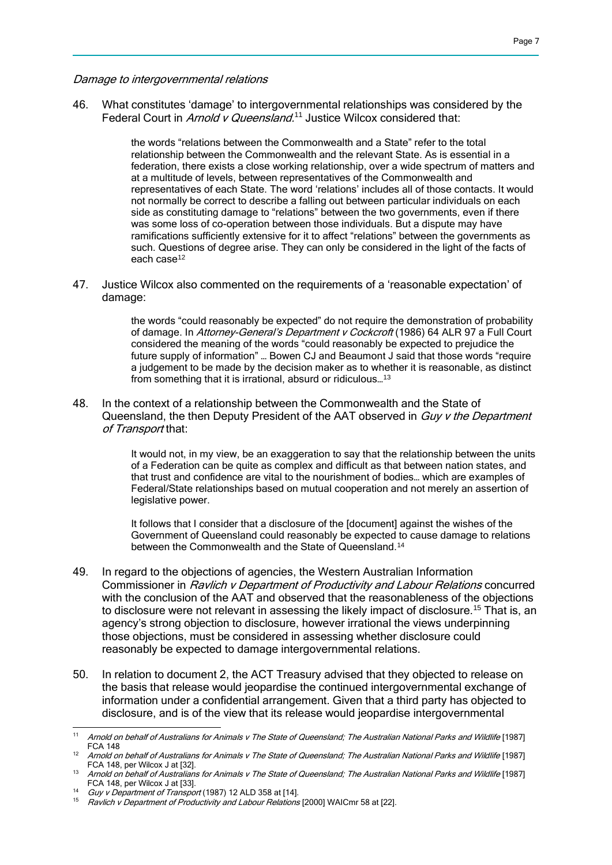Damage to intergovernmental relations

46. What constitutes 'damage' to intergovernmental relationships was considered by the Federal Court in Arnold v Queensland.<sup>11</sup> Justice Wilcox considered that:

> the words "relations between the Commonwealth and a State" refer to the total relationship between the Commonwealth and the relevant State. As is essential in a federation, there exists a close working relationship, over a wide spectrum of matters and at a multitude of levels, between representatives of the Commonwealth and representatives of each State. The word 'relations' includes all of those contacts. It would not normally be correct to describe a falling out between particular individuals on each side as constituting damage to "relations" between the two governments, even if there was some loss of co-operation between those individuals. But a dispute may have ramifications sufficiently extensive for it to affect "relations" between the governments as such. Questions of degree arise. They can only be considered in the light of the facts of each case<sup>12</sup>

47. Justice Wilcox also commented on the requirements of a 'reasonable expectation' of damage:

> the words "could reasonably be expected" do not require the demonstration of probability of damage. In Attorney-General's Department v Cockcroft (1986) 64 ALR 97 a Full Court considered the meaning of the words "could reasonably be expected to prejudice the future supply of information" … Bowen CJ and Beaumont J said that those words "require a judgement to be made by the decision maker as to whether it is reasonable, as distinct from something that it is irrational, absurd or ridiculous…<sup>13</sup>

48. In the context of a relationship between the Commonwealth and the State of Queensland, the then Deputy President of the AAT observed in Guy v the Department of Transport that:

> It would not, in my view, be an exaggeration to say that the relationship between the units of a Federation can be quite as complex and difficult as that between nation states, and that trust and confidence are vital to the nourishment of bodies… which are examples of Federal/State relationships based on mutual cooperation and not merely an assertion of legislative power.

It follows that I consider that a disclosure of the Idocumentl against the wishes of the Government of Queensland could reasonably be expected to cause damage to relations between the Commonwealth and the State of Queensland.<sup>14</sup>

- 49. In regard to the objections of agencies, the Western Australian Information Commissioner in Ravlich v Department of Productivity and Labour Relations concurred with the conclusion of the AAT and observed that the reasonableness of the objections to disclosure were not relevant in assessing the likely impact of disclosure.<sup>15</sup> That is, an agency's strong objection to disclosure, however irrational the views underpinning those objections, must be considered in assessing whether disclosure could reasonably be expected to damage intergovernmental relations.
- 50. In relation to document 2, the ACT Treasury advised that they objected to release on the basis that release would jeopardise the continued intergovernmental exchange of information under a confidential arrangement. Given that a third party has objected to disclosure, and is of the view that its release would jeopardise intergovernmental

 $11$ <sup>11</sup> Arnold on behalf of Australians for Animals v The State of Queensland; The Australian National Parks and Wildlife [1987] FCA 148

<sup>&</sup>lt;sup>12</sup> Arnold on behalf of Australians for Animals v The State of Queensland; The Australian National Parks and Wildlife [1987] FCA 148, per Wilcox J at [32].

<sup>13</sup> Arnold on behalf of Australians for Animals v The State of Queensland; The Australian National Parks and Wildlife [1987] FCA 148, per Wilcox J at [33].

<sup>14</sup> Guy v Department of Transport (1987) 12 ALD 358 at [14].

Ravlich v Department of Productivity and Labour Relations [2000] WAICmr 58 at [22].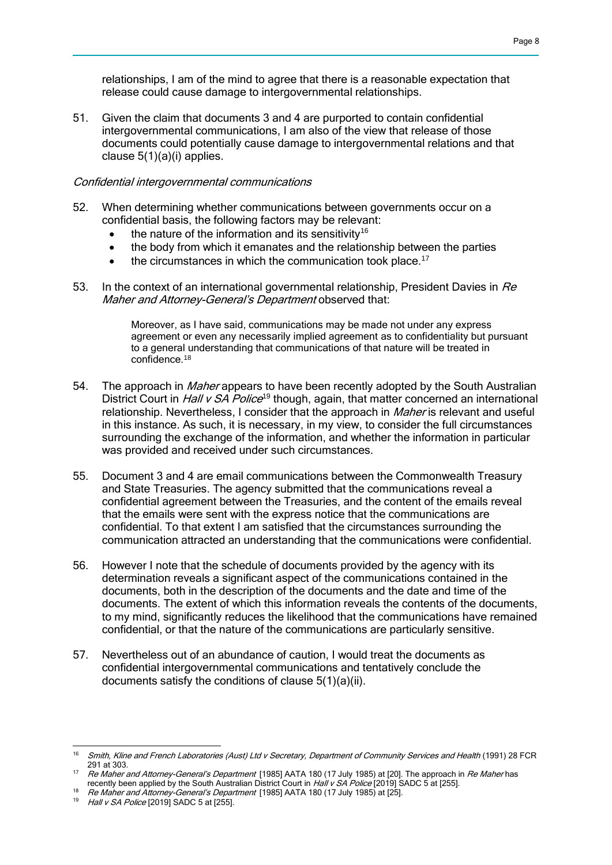relationships, I am of the mind to agree that there is a reasonable expectation that release could cause damage to intergovernmental relationships.

51. Given the claim that documents 3 and 4 are purported to contain confidential intergovernmental communications, I am also of the view that release of those documents could potentially cause damage to intergovernmental relations and that clause 5(1)(a)(i) applies.

### Confidential intergovernmental communications

- 52. When determining whether communications between governments occur on a confidential basis, the following factors may be relevant:
	- $\bullet$  the nature of the information and its sensitivity<sup>16</sup>
	- the body from which it emanates and the relationship between the parties
	- $\bullet$  the circumstances in which the communication took place.<sup>17</sup>
- 53. In the context of an international governmental relationship, President Davies in Re Maher and Attorney-General's Department observed that:

Moreover, as I have said, communications may be made not under any express agreement or even any necessarily implied agreement as to confidentiality but pursuant to a general understanding that communications of that nature will be treated in confidence.<sup>18</sup>

- 54. The approach in *Maher* appears to have been recently adopted by the South Australian District Court in *Hall v SA Police*<sup>19</sup> though, again, that matter concerned an international relationship. Nevertheless, I consider that the approach in *Maher* is relevant and useful in this instance. As such, it is necessary, in my view, to consider the full circumstances surrounding the exchange of the information, and whether the information in particular was provided and received under such circumstances.
- 55. Document 3 and 4 are email communications between the Commonwealth Treasury and State Treasuries. The agency submitted that the communications reveal a confidential agreement between the Treasuries, and the content of the emails reveal that the emails were sent with the express notice that the communications are confidential. To that extent I am satisfied that the circumstances surrounding the communication attracted an understanding that the communications were confidential.
- 56. However I note that the schedule of documents provided by the agency with its determination reveals a significant aspect of the communications contained in the documents, both in the description of the documents and the date and time of the documents. The extent of which this information reveals the contents of the documents, to my mind, significantly reduces the likelihood that the communications have remained confidential, or that the nature of the communications are particularly sensitive.
- 57. Nevertheless out of an abundance of caution, I would treat the documents as confidential intergovernmental communications and tentatively conclude the documents satisfy the conditions of clause 5(1)(a)(ii).

 $\overline{a}$ 

<sup>&</sup>lt;sup>16</sup> Smith, Kline and French Laboratories (Aust) Ltd v Secretary, Department of Community Services and Health (1991) 28 FCR 291 at 303.

<sup>&</sup>lt;sup>17</sup> Re Maher and Attorney-General's Department [1985] AATA 180 (17 July 1985) at [20]. The approach in Re Maher has recently been applied by the South Australian District Court in Hall v SA Police [2019] SADC 5 at [255].

<sup>18</sup> Re Maher and Attorney-General's Department [1985] AATA 180 (17 July 1985) at [25].

 $19$  Hall v SA Police [2019] SADC 5 at [255].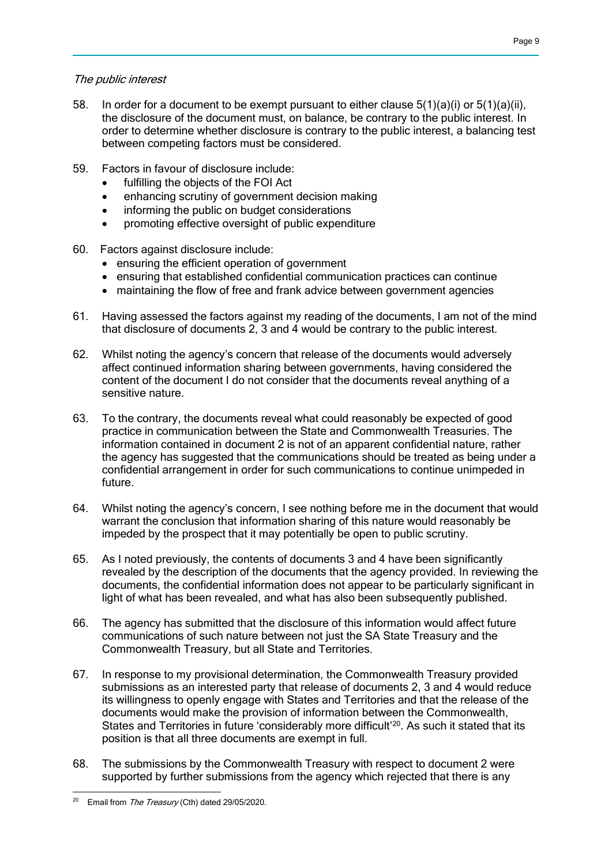### The public interest

- 58. In order for a document to be exempt pursuant to either clause 5(1)(a)(i) or 5(1)(a)(ii), the disclosure of the document must, on balance, be contrary to the public interest. In order to determine whether disclosure is contrary to the public interest, a balancing test between competing factors must be considered.
- 59. Factors in favour of disclosure include:
	- fulfilling the objects of the FOI Act
	- enhancing scrutiny of government decision making
	- informing the public on budget considerations
	- promoting effective oversight of public expenditure
- 60. Factors against disclosure include:
	- ensuring the efficient operation of government
	- ensuring that established confidential communication practices can continue
	- maintaining the flow of free and frank advice between government agencies
- 61. Having assessed the factors against my reading of the documents, I am not of the mind that disclosure of documents 2, 3 and 4 would be contrary to the public interest.
- 62. Whilst noting the agency's concern that release of the documents would adversely affect continued information sharing between governments, having considered the content of the document I do not consider that the documents reveal anything of a sensitive nature.
- 63. To the contrary, the documents reveal what could reasonably be expected of good practice in communication between the State and Commonwealth Treasuries. The information contained in document 2 is not of an apparent confidential nature, rather the agency has suggested that the communications should be treated as being under a confidential arrangement in order for such communications to continue unimpeded in future.
- 64. Whilst noting the agency's concern, I see nothing before me in the document that would warrant the conclusion that information sharing of this nature would reasonably be impeded by the prospect that it may potentially be open to public scrutiny.
- 65. As I noted previously, the contents of documents 3 and 4 have been significantly revealed by the description of the documents that the agency provided. In reviewing the documents, the confidential information does not appear to be particularly significant in light of what has been revealed, and what has also been subsequently published.
- 66. The agency has submitted that the disclosure of this information would affect future communications of such nature between not just the SA State Treasury and the Commonwealth Treasury, but all State and Territories.
- 67. In response to my provisional determination, the Commonwealth Treasury provided submissions as an interested party that release of documents 2, 3 and 4 would reduce its willingness to openly engage with States and Territories and that the release of the documents would make the provision of information between the Commonwealth, States and Territories in future 'considerably more difficult'<sup>20</sup>. As such it stated that its position is that all three documents are exempt in full.
- 68. The submissions by the Commonwealth Treasury with respect to document 2 were supported by further submissions from the agency which rejected that there is any

 <sup>20</sup> Email from *The Treasury* (Cth) dated 29/05/2020.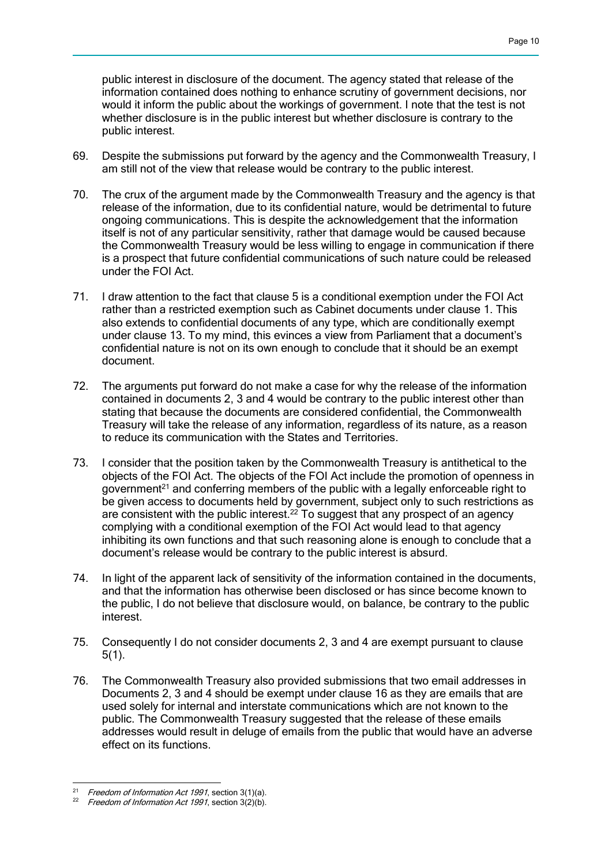public interest in disclosure of the document. The agency stated that release of the information contained does nothing to enhance scrutiny of government decisions, nor would it inform the public about the workings of government. I note that the test is not whether disclosure is in the public interest but whether disclosure is contrary to the public interest.

- 69. Despite the submissions put forward by the agency and the Commonwealth Treasury, I am still not of the view that release would be contrary to the public interest.
- 70. The crux of the argument made by the Commonwealth Treasury and the agency is that release of the information, due to its confidential nature, would be detrimental to future ongoing communications. This is despite the acknowledgement that the information itself is not of any particular sensitivity, rather that damage would be caused because the Commonwealth Treasury would be less willing to engage in communication if there is a prospect that future confidential communications of such nature could be released under the FOI Act.
- 71. I draw attention to the fact that clause 5 is a conditional exemption under the FOI Act rather than a restricted exemption such as Cabinet documents under clause 1. This also extends to confidential documents of any type, which are conditionally exempt under clause 13. To my mind, this evinces a view from Parliament that a document's confidential nature is not on its own enough to conclude that it should be an exempt document.
- 72. The arguments put forward do not make a case for why the release of the information contained in documents 2, 3 and 4 would be contrary to the public interest other than stating that because the documents are considered confidential, the Commonwealth Treasury will take the release of any information, regardless of its nature, as a reason to reduce its communication with the States and Territories.
- 73. I consider that the position taken by the Commonwealth Treasury is antithetical to the objects of the FOI Act. The objects of the FOI Act include the promotion of openness in government<sup>21</sup> and conferring members of the public with a legally enforceable right to be given access to documents held by government, subject only to such restrictions as are consistent with the public interest.<sup>22</sup> To suggest that any prospect of an agency complying with a conditional exemption of the FOI Act would lead to that agency inhibiting its own functions and that such reasoning alone is enough to conclude that a document's release would be contrary to the public interest is absurd.
- 74. In light of the apparent lack of sensitivity of the information contained in the documents, and that the information has otherwise been disclosed or has since become known to the public, I do not believe that disclosure would, on balance, be contrary to the public interest.
- 75. Consequently I do not consider documents 2, 3 and 4 are exempt pursuant to clause 5(1).
- 76. The Commonwealth Treasury also provided submissions that two email addresses in Documents 2, 3 and 4 should be exempt under clause 16 as they are emails that are used solely for internal and interstate communications which are not known to the public. The Commonwealth Treasury suggested that the release of these emails addresses would result in deluge of emails from the public that would have an adverse effect on its functions.

 $21$ Freedom of Information Act 1991, section 3(1)(a).

Freedom of Information Act 1991, section  $3\overline{2}$ (b).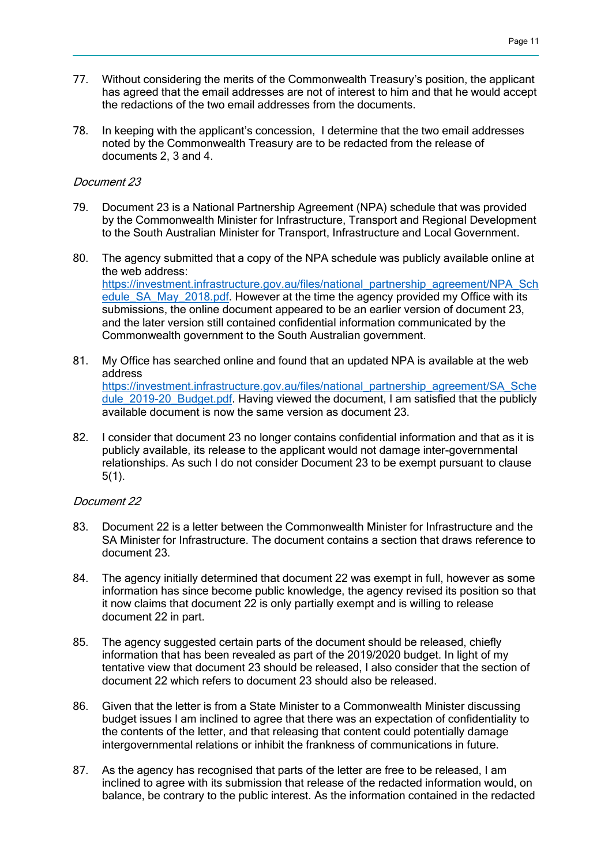- 77. Without considering the merits of the Commonwealth Treasury's position, the applicant has agreed that the email addresses are not of interest to him and that he would accept the redactions of the two email addresses from the documents.
- 78. In keeping with the applicant's concession, I determine that the two email addresses noted by the Commonwealth Treasury are to be redacted from the release of documents 2, 3 and 4.

### Document 23

- 79. Document 23 is a National Partnership Agreement (NPA) schedule that was provided by the Commonwealth Minister for Infrastructure, Transport and Regional Development to the South Australian Minister for Transport, Infrastructure and Local Government.
- 80. The agency submitted that a copy of the NPA schedule was publicly available online at the web address: [https://investment.infrastructure.gov.au/files/national\\_partnership\\_agreement/NPA\\_Sch](https://investment.infrastructure.gov.au/files/national_partnership_agreement/NPA_Schedule_SA_May_2018.pdf) [edule\\_SA\\_May\\_2018.pdf.](https://investment.infrastructure.gov.au/files/national_partnership_agreement/NPA_Schedule_SA_May_2018.pdf) However at the time the agency provided my Office with its submissions, the online document appeared to be an earlier version of document 23, and the later version still contained confidential information communicated by the Commonwealth government to the South Australian government.
- 81. My Office has searched online and found that an updated NPA is available at the web address [https://investment.infrastructure.gov.au/files/national\\_partnership\\_agreement/SA\\_Sche](https://investment.infrastructure.gov.au/files/national_partnership_agreement/SA_Schedule_2019-20_Budget.pdf) dule 2019-20 Budget.pdf. Having viewed the document, I am satisfied that the publicly available document is now the same version as document 23.
- 82. I consider that document 23 no longer contains confidential information and that as it is publicly available, its release to the applicant would not damage inter-governmental relationships. As such I do not consider Document 23 to be exempt pursuant to clause 5(1).

### Document 22

- 83. Document 22 is a letter between the Commonwealth Minister for Infrastructure and the SA Minister for Infrastructure. The document contains a section that draws reference to document 23.
- 84. The agency initially determined that document 22 was exempt in full, however as some information has since become public knowledge, the agency revised its position so that it now claims that document 22 is only partially exempt and is willing to release document 22 in part.
- 85. The agency suggested certain parts of the document should be released, chiefly information that has been revealed as part of the 2019/2020 budget. In light of my tentative view that document 23 should be released, I also consider that the section of document 22 which refers to document 23 should also be released.
- 86. Given that the letter is from a State Minister to a Commonwealth Minister discussing budget issues I am inclined to agree that there was an expectation of confidentiality to the contents of the letter, and that releasing that content could potentially damage intergovernmental relations or inhibit the frankness of communications in future.
- 87. As the agency has recognised that parts of the letter are free to be released, I am inclined to agree with its submission that release of the redacted information would, on balance, be contrary to the public interest. As the information contained in the redacted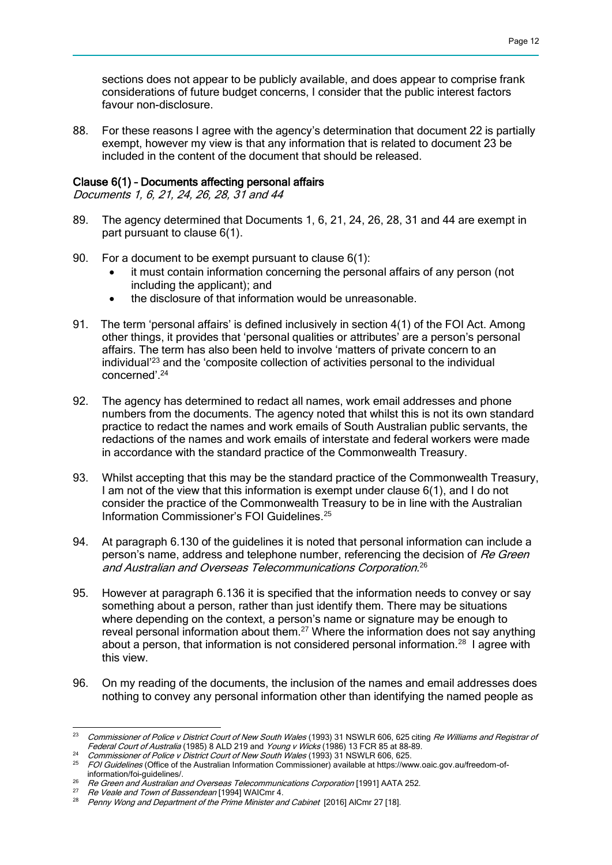sections does not appear to be publicly available, and does appear to comprise frank considerations of future budget concerns, I consider that the public interest factors favour non-disclosure.

88. For these reasons I agree with the agency's determination that document 22 is partially exempt, however my view is that any information that is related to document 23 be included in the content of the document that should be released.

### Clause 6(1) – Documents affecting personal affairs

Documents 1, 6, 21, 24, 26, 28, 31 and 44

- 89. The agency determined that Documents 1, 6, 21, 24, 26, 28, 31 and 44 are exempt in part pursuant to clause 6(1).
- 90. For a document to be exempt pursuant to clause 6(1):
	- it must contain information concerning the personal affairs of any person (not including the applicant); and
	- the disclosure of that information would be unreasonable.
- 91. The term 'personal affairs' is defined inclusively in section 4(1) of the FOI Act. Among other things, it provides that 'personal qualities or attributes' are a person's personal affairs. The term has also been held to involve 'matters of private concern to an individual'<sup>23</sup> and the 'composite collection of activities personal to the individual concerned'.<sup>24</sup>
- 92. The agency has determined to redact all names, work email addresses and phone numbers from the documents. The agency noted that whilst this is not its own standard practice to redact the names and work emails of South Australian public servants, the redactions of the names and work emails of interstate and federal workers were made in accordance with the standard practice of the Commonwealth Treasury.
- 93. Whilst accepting that this may be the standard practice of the Commonwealth Treasury, I am not of the view that this information is exempt under clause 6(1), and I do not consider the practice of the Commonwealth Treasury to be in line with the Australian Information Commissioner's FOI Guidelines.<sup>25</sup>
- 94. At paragraph 6.130 of the guidelines it is noted that personal information can include a person's name, address and telephone number, referencing the decision of Re Green and Australian and Overseas Telecommunications Corporation. 26
- 95. However at paragraph 6.136 it is specified that the information needs to convey or say something about a person, rather than just identify them. There may be situations where depending on the context, a person's name or signature may be enough to reveal personal information about them.<sup>27</sup> Where the information does not say anything about a person, that information is not considered personal information.<sup>28</sup> I agree with this view.
- 96. On my reading of the documents, the inclusion of the names and email addresses does nothing to convey any personal information other than identifying the named people as

 $^{23}$   $\,$  Commissioner of Police v District Court of New South Wales (1993) 31 NSWLR 606, 625 citing  $Re$  Williams and Registrar of Federal Court of Australia (1985) 8 ALD 219 and Young v Wicks (1986) 13 FCR 85 at 88-89.

<sup>&</sup>lt;sup>24</sup> Commissioner of Police v District Court of New South Wales (1993) 31 NSWLR 606, 625.

<sup>&</sup>lt;sup>25</sup> FOI Guidelines (Office of the Australian Information Commissioner) available at https://www.oaic.gov.au/freedom-ofinformation/foi-guidelines/.

<sup>26</sup> Re Green and Australian and Overseas Telecommunications Corporation [1991] AATA 252.

<sup>27</sup> Re Veale and Town of Bassendean [1994] WAICmr 4.<br>28 Denny Wang and Department of the Drime Minister on

Penny Wong and Department of the Prime Minister and Cabinet [2016] AlCmr 27 [18].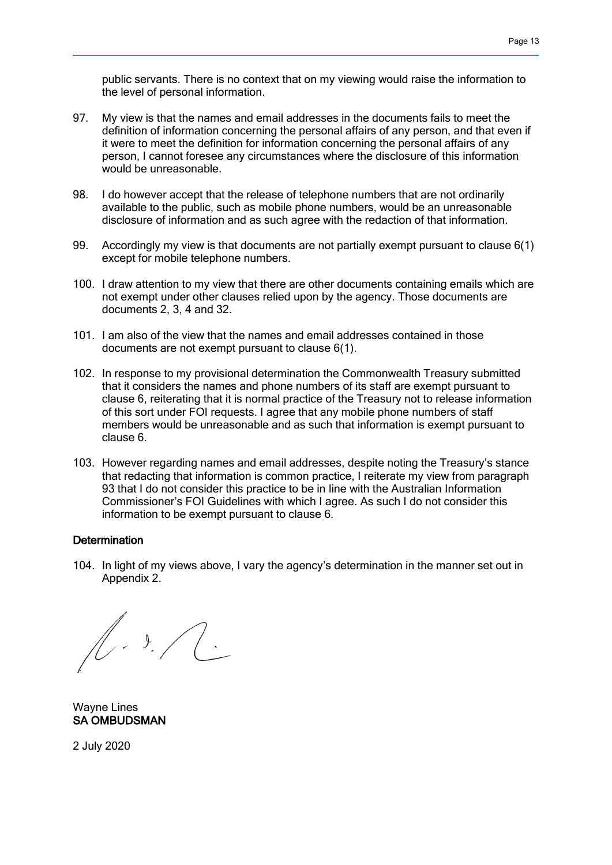public servants. There is no context that on my viewing would raise the information to the level of personal information.

- 97. My view is that the names and email addresses in the documents fails to meet the definition of information concerning the personal affairs of any person, and that even if it were to meet the definition for information concerning the personal affairs of any person, I cannot foresee any circumstances where the disclosure of this information would be unreasonable.
- 98. I do however accept that the release of telephone numbers that are not ordinarily available to the public, such as mobile phone numbers, would be an unreasonable disclosure of information and as such agree with the redaction of that information.
- 99. Accordingly my view is that documents are not partially exempt pursuant to clause 6(1) except for mobile telephone numbers.
- 100. I draw attention to my view that there are other documents containing emails which are not exempt under other clauses relied upon by the agency. Those documents are documents 2, 3, 4 and 32.
- 101. I am also of the view that the names and email addresses contained in those documents are not exempt pursuant to clause 6(1).
- 102. In response to my provisional determination the Commonwealth Treasury submitted that it considers the names and phone numbers of its staff are exempt pursuant to clause 6, reiterating that it is normal practice of the Treasury not to release information of this sort under FOI requests. I agree that any mobile phone numbers of staff members would be unreasonable and as such that information is exempt pursuant to clause 6.
- 103. However regarding names and email addresses, despite noting the Treasury's stance that redacting that information is common practice, I reiterate my view from paragraph 93 that I do not consider this practice to be in line with the Australian Information Commissioner's FOI Guidelines with which I agree. As such I do not consider this information to be exempt pursuant to clause 6.

### **Determination**

104. In light of my views above, I vary the agency's determination in the manner set out in Appendix 2.

 $\sqrt{1-\frac{1}{2}}$ 

Wayne Lines SA OMBUDSMAN

2 July 2020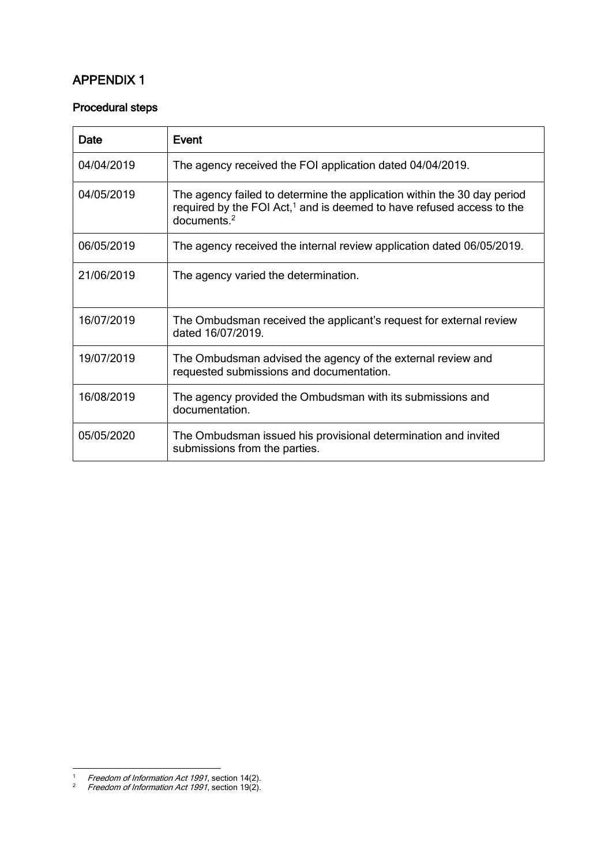# APPENDIX 1

## Procedural steps

| Date       | Event                                                                                                                                                                                  |
|------------|----------------------------------------------------------------------------------------------------------------------------------------------------------------------------------------|
| 04/04/2019 | The agency received the FOI application dated 04/04/2019.                                                                                                                              |
| 04/05/2019 | The agency failed to determine the application within the 30 day period<br>required by the FOI Act, <sup>1</sup> and is deemed to have refused access to the<br>documents <sup>2</sup> |
| 06/05/2019 | The agency received the internal review application dated 06/05/2019.                                                                                                                  |
| 21/06/2019 | The agency varied the determination.                                                                                                                                                   |
| 16/07/2019 | The Ombudsman received the applicant's request for external review<br>dated 16/07/2019.                                                                                                |
| 19/07/2019 | The Ombudsman advised the agency of the external review and<br>requested submissions and documentation.                                                                                |
| 16/08/2019 | The agency provided the Ombudsman with its submissions and<br>documentation.                                                                                                           |
| 05/05/2020 | The Ombudsman issued his provisional determination and invited<br>submissions from the parties.                                                                                        |

1

<sup>&</sup>lt;sup>1</sup> Freedom of Information Act 1991, section 14(2).

<sup>&</sup>lt;sup>2</sup> Freedom of Information Act 1991, section 19(2).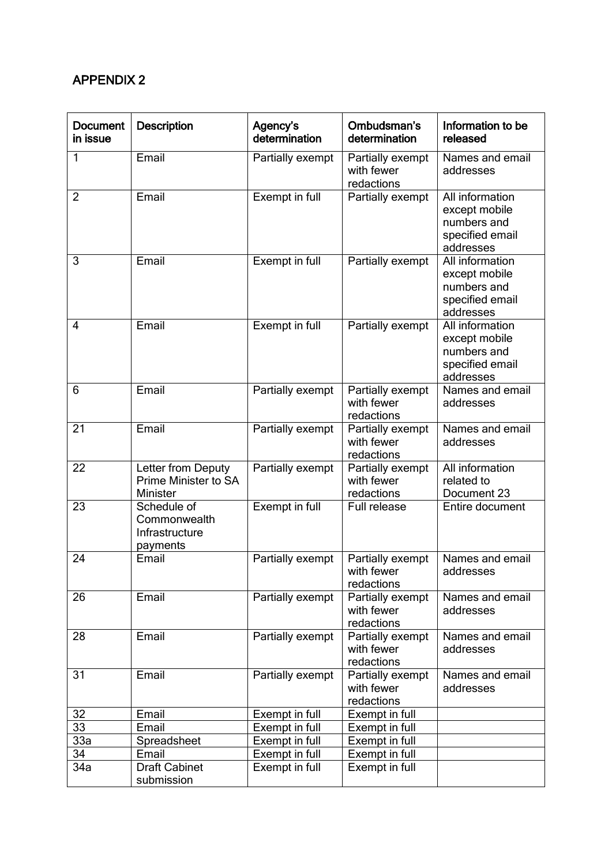# APPENDIX 2

| <b>Document</b><br>in issue | <b>Description</b>                                        | Agency's<br>determination | Ombudsman's<br>determination                 | Information to be<br>released                                                   |
|-----------------------------|-----------------------------------------------------------|---------------------------|----------------------------------------------|---------------------------------------------------------------------------------|
| 1                           | Email                                                     | Partially exempt          | Partially exempt<br>with fewer<br>redactions | Names and email<br>addresses                                                    |
| $\overline{2}$              | Email                                                     | Exempt in full            | Partially exempt                             | All information<br>except mobile<br>numbers and<br>specified email<br>addresses |
| 3                           | Email                                                     | Exempt in full            | Partially exempt                             | All information<br>except mobile<br>numbers and<br>specified email<br>addresses |
| 4                           | Email                                                     | Exempt in full            | Partially exempt                             | All information<br>except mobile<br>numbers and<br>specified email<br>addresses |
| 6                           | Email                                                     | Partially exempt          | Partially exempt<br>with fewer<br>redactions | Names and email<br>addresses                                                    |
| 21                          | Email                                                     | Partially exempt          | Partially exempt<br>with fewer<br>redactions | Names and email<br>addresses                                                    |
| 22                          | Letter from Deputy<br>Prime Minister to SA<br>Minister    | Partially exempt          | Partially exempt<br>with fewer<br>redactions | All information<br>related to<br>Document 23                                    |
| $\overline{23}$             | Schedule of<br>Commonwealth<br>Infrastructure<br>payments | <b>Exempt in full</b>     | Full release                                 | Entire document                                                                 |
| 24                          | Email                                                     | Partially exempt          | Partially exempt<br>with fewer<br>redactions | Names and email<br>addresses                                                    |
| 26                          | Email                                                     | Partially exempt          | Partially exempt<br>with fewer<br>redactions | Names and email<br>addresses                                                    |
| 28                          | $E$ mail                                                  | Partially exempt          | Partially exempt<br>with fewer<br>redactions | Names and email<br>addresses                                                    |
| 31                          | Email                                                     | Partially exempt          | Partially exempt<br>with fewer<br>redactions | Names and email<br>addresses                                                    |
| 32                          | Email                                                     | Exempt in full            | Exempt in full                               |                                                                                 |
| 33                          | Email                                                     | Exempt in full            | Exempt in full                               |                                                                                 |
| 33a                         | Spreadsheet                                               | Exempt in full            | Exempt in full                               |                                                                                 |
| 34                          | Email                                                     | Exempt in full            | Exempt in full                               |                                                                                 |
| 34a                         | <b>Draft Cabinet</b><br>submission                        | Exempt in full            | Exempt in full                               |                                                                                 |